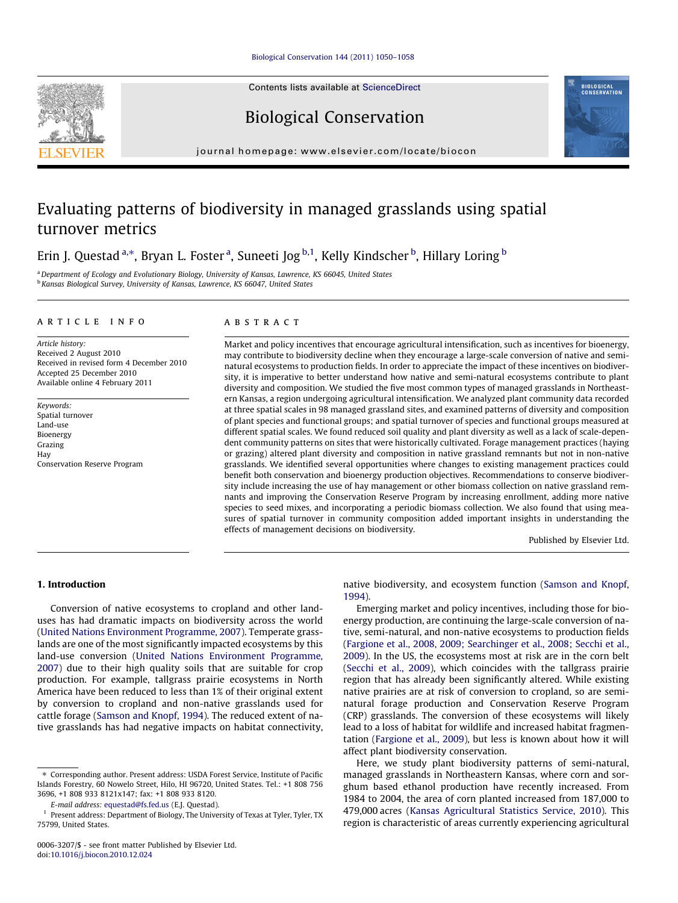Contents lists available at [ScienceDirect](http://www.sciencedirect.com/science/journal/00063207)

# Biological Conservation

journal homepage: [www.elsevier.com/locate/biocon](http://www.elsevier.com/locate/biocon)

# Evaluating patterns of biodiversity in managed grasslands using spatial turnover metrics

Erin J. Questad <sup>a,</sup>\*, Bryan L. Foster <sup>a</sup>, Suneeti Jog <sup>b,1</sup>, Kelly Kindscher <sup>b</sup>, Hillary Loring <sup>b</sup>

<sup>a</sup>Department of Ecology and Evolutionary Biology, University of Kansas, Lawrence, KS 66045, United States b Kansas Biological Survey, University of Kansas, Lawrence, KS 66047, United States

## article info

Article history: Received 2 August 2010 Received in revised form 4 December 2010 Accepted 25 December 2010 Available online 4 February 2011

Keywords: Spatial turnover Land-use Bioenergy Grazing Hay Conservation Reserve Program

## ABSTRACT

Market and policy incentives that encourage agricultural intensification, such as incentives for bioenergy, may contribute to biodiversity decline when they encourage a large-scale conversion of native and seminatural ecosystems to production fields. In order to appreciate the impact of these incentives on biodiversity, it is imperative to better understand how native and semi-natural ecosystems contribute to plant diversity and composition. We studied the five most common types of managed grasslands in Northeastern Kansas, a region undergoing agricultural intensification. We analyzed plant community data recorded at three spatial scales in 98 managed grassland sites, and examined patterns of diversity and composition of plant species and functional groups; and spatial turnover of species and functional groups measured at different spatial scales. We found reduced soil quality and plant diversity as well as a lack of scale-dependent community patterns on sites that were historically cultivated. Forage management practices (haying or grazing) altered plant diversity and composition in native grassland remnants but not in non-native grasslands. We identified several opportunities where changes to existing management practices could benefit both conservation and bioenergy production objectives. Recommendations to conserve biodiversity include increasing the use of hay management or other biomass collection on native grassland remnants and improving the Conservation Reserve Program by increasing enrollment, adding more native species to seed mixes, and incorporating a periodic biomass collection. We also found that using measures of spatial turnover in community composition added important insights in understanding the effects of management decisions on biodiversity.

Published by Elsevier Ltd.

# 1. Introduction

Conversion of native ecosystems to cropland and other landuses has had dramatic impacts on biodiversity across the world ([United Nations Environment Programme, 2007\)](#page-7-0). Temperate grasslands are one of the most significantly impacted ecosystems by this land-use conversion ([United Nations Environment Programme,](#page-7-0) [2007\)](#page-7-0) due to their high quality soils that are suitable for crop production. For example, tallgrass prairie ecosystems in North America have been reduced to less than 1% of their original extent by conversion to cropland and non-native grasslands used for cattle forage [\(Samson and Knopf, 1994\)](#page-7-0). The reduced extent of native grasslands has had negative impacts on habitat connectivity, native biodiversity, and ecosystem function ([Samson and Knopf,](#page-7-0) [1994\)](#page-7-0).

Emerging market and policy incentives, including those for bioenergy production, are continuing the large-scale conversion of native, semi-natural, and non-native ecosystems to production fields ([Fargione et al., 2008, 2009; Searchinger et al., 2008; Secchi et al.,](#page-7-0) [2009\)](#page-7-0). In the US, the ecosystems most at risk are in the corn belt ([Secchi et al., 2009\)](#page-7-0), which coincides with the tallgrass prairie region that has already been significantly altered. While existing native prairies are at risk of conversion to cropland, so are seminatural forage production and Conservation Reserve Program (CRP) grasslands. The conversion of these ecosystems will likely lead to a loss of habitat for wildlife and increased habitat fragmentation [\(Fargione et al., 2009\)](#page-7-0), but less is known about how it will affect plant biodiversity conservation.

Here, we study plant biodiversity patterns of semi-natural, managed grasslands in Northeastern Kansas, where corn and sorghum based ethanol production have recently increased. From 1984 to 2004, the area of corn planted increased from 187,000 to 479,000 acres [\(Kansas Agricultural Statistics Service, 2010](#page-7-0)). This region is characteristic of areas currently experiencing agricultural





<sup>⇑</sup> Corresponding author. Present address: USDA Forest Service, Institute of Pacific Islands Forestry, 60 Nowelo Street, Hilo, HI 96720, United States. Tel.: +1 808 756 3696, +1 808 933 8121x147; fax: +1 808 933 8120.

E-mail address: [equestad@fs.fed.us](mailto:equestad@fs.fed.us) (E.J. Questad).

 $^{\rm 1}$  Present address: Department of Biology, The University of Texas at Tyler, Tyler, TX 75799, United States.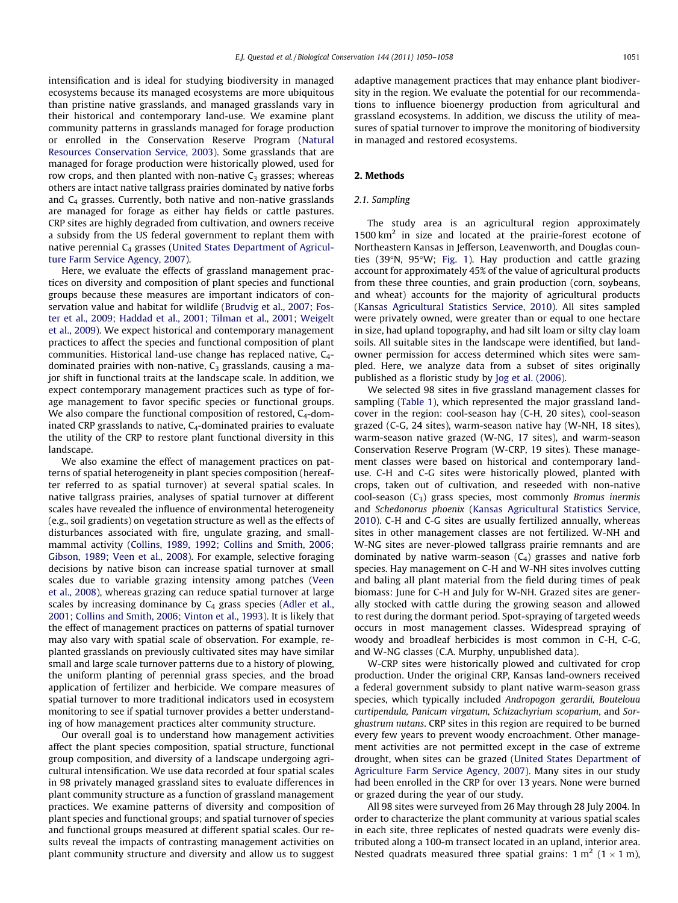intensification and is ideal for studying biodiversity in managed ecosystems because its managed ecosystems are more ubiquitous than pristine native grasslands, and managed grasslands vary in their historical and contemporary land-use. We examine plant community patterns in grasslands managed for forage production or enrolled in the Conservation Reserve Program [\(Natural](#page-7-0) [Resources Conservation Service, 2003\)](#page-7-0). Some grasslands that are managed for forage production were historically plowed, used for row crops, and then planted with non-native  $C_3$  grasses; whereas others are intact native tallgrass prairies dominated by native forbs and  $C_4$  grasses. Currently, both native and non-native grasslands are managed for forage as either hay fields or cattle pastures. CRP sites are highly degraded from cultivation, and owners receive a subsidy from the US federal government to replant them with native perennial  $C_4$  grasses [\(United States Department of Agricul](#page-7-0)[ture Farm Service Agency, 2007](#page-7-0)).

Here, we evaluate the effects of grassland management practices on diversity and composition of plant species and functional groups because these measures are important indicators of conservation value and habitat for wildlife ([Brudvig et al., 2007; Fos](#page-7-0)[ter et al., 2009; Haddad et al., 2001; Tilman et al., 2001; Weigelt](#page-7-0) [et al., 2009](#page-7-0)). We expect historical and contemporary management practices to affect the species and functional composition of plant communities. Historical land-use change has replaced native, C4 dominated prairies with non-native,  $C_3$  grasslands, causing a major shift in functional traits at the landscape scale. In addition, we expect contemporary management practices such as type of forage management to favor specific species or functional groups. We also compare the functional composition of restored,  $C_4$ -dominated CRP grasslands to native,  $C_4$ -dominated prairies to evaluate the utility of the CRP to restore plant functional diversity in this landscape.

We also examine the effect of management practices on patterns of spatial heterogeneity in plant species composition (hereafter referred to as spatial turnover) at several spatial scales. In native tallgrass prairies, analyses of spatial turnover at different scales have revealed the influence of environmental heterogeneity (e.g., soil gradients) on vegetation structure as well as the effects of disturbances associated with fire, ungulate grazing, and smallmammal activity [\(Collins, 1989, 1992; Collins and Smith, 2006;](#page-7-0) [Gibson, 1989; Veen et al., 2008](#page-7-0)). For example, selective foraging decisions by native bison can increase spatial turnover at small scales due to variable grazing intensity among patches ([Veen](#page-7-0) [et al., 2008\)](#page-7-0), whereas grazing can reduce spatial turnover at large scales by increasing dominance by  $C_4$  grass species ([Adler et al.,](#page-7-0) [2001; Collins and Smith, 2006; Vinton et al., 1993](#page-7-0)). It is likely that the effect of management practices on patterns of spatial turnover may also vary with spatial scale of observation. For example, replanted grasslands on previously cultivated sites may have similar small and large scale turnover patterns due to a history of plowing, the uniform planting of perennial grass species, and the broad application of fertilizer and herbicide. We compare measures of spatial turnover to more traditional indicators used in ecosystem monitoring to see if spatial turnover provides a better understanding of how management practices alter community structure.

Our overall goal is to understand how management activities affect the plant species composition, spatial structure, functional group composition, and diversity of a landscape undergoing agricultural intensification. We use data recorded at four spatial scales in 98 privately managed grassland sites to evaluate differences in plant community structure as a function of grassland management practices. We examine patterns of diversity and composition of plant species and functional groups; and spatial turnover of species and functional groups measured at different spatial scales. Our results reveal the impacts of contrasting management activities on plant community structure and diversity and allow us to suggest adaptive management practices that may enhance plant biodiversity in the region. We evaluate the potential for our recommendations to influence bioenergy production from agricultural and grassland ecosystems. In addition, we discuss the utility of measures of spatial turnover to improve the monitoring of biodiversity in managed and restored ecosystems.

## 2. Methods

## 2.1. Sampling

The study area is an agricultural region approximately 1500 km<sup>2</sup> in size and located at the prairie-forest ecotone of Northeastern Kansas in Jefferson, Leavenworth, and Douglas coun-ties (39°N, 95°W; [Fig. 1\)](#page-2-0). Hay production and cattle grazing account for approximately 45% of the value of agricultural products from these three counties, and grain production (corn, soybeans, and wheat) accounts for the majority of agricultural products ([Kansas Agricultural Statistics Service, 2010\)](#page-7-0). All sites sampled were privately owned, were greater than or equal to one hectare in size, had upland topography, and had silt loam or silty clay loam soils. All suitable sites in the landscape were identified, but landowner permission for access determined which sites were sampled. Here, we analyze data from a subset of sites originally published as a floristic study by [Jog et al. \(2006\)](#page-7-0).

We selected 98 sites in five grassland management classes for sampling [\(Table 1\)](#page-3-0), which represented the major grassland landcover in the region: cool-season hay (C-H, 20 sites), cool-season grazed (C-G, 24 sites), warm-season native hay (W-NH, 18 sites), warm-season native grazed (W-NG, 17 sites), and warm-season Conservation Reserve Program (W-CRP, 19 sites). These management classes were based on historical and contemporary landuse. C-H and C-G sites were historically plowed, planted with crops, taken out of cultivation, and reseeded with non-native cool-season  $(C_3)$  grass species, most commonly Bromus inermis and Schedonorus phoenix ([Kansas Agricultural Statistics Service,](#page-7-0) [2010](#page-7-0)). C-H and C-G sites are usually fertilized annually, whereas sites in other management classes are not fertilized. W-NH and W-NG sites are never-plowed tallgrass prairie remnants and are dominated by native warm-season  $(C_4)$  grasses and native forb species. Hay management on C-H and W-NH sites involves cutting and baling all plant material from the field during times of peak biomass: June for C-H and July for W-NH. Grazed sites are generally stocked with cattle during the growing season and allowed to rest during the dormant period. Spot-spraying of targeted weeds occurs in most management classes. Widespread spraying of woody and broadleaf herbicides is most common in C-H, C-G, and W-NG classes (C.A. Murphy, unpublished data).

W-CRP sites were historically plowed and cultivated for crop production. Under the original CRP, Kansas land-owners received a federal government subsidy to plant native warm-season grass species, which typically included Andropogon gerardii, Bouteloua curtipendula, Panicum virgatum, Schizachyrium scoparium, and Sorghastrum nutans. CRP sites in this region are required to be burned every few years to prevent woody encroachment. Other management activities are not permitted except in the case of extreme drought, when sites can be grazed ([United States Department of](#page-7-0) [Agriculture Farm Service Agency, 2007](#page-7-0)). Many sites in our study had been enrolled in the CRP for over 13 years. None were burned or grazed during the year of our study.

All 98 sites were surveyed from 26 May through 28 July 2004. In order to characterize the plant community at various spatial scales in each site, three replicates of nested quadrats were evenly distributed along a 100-m transect located in an upland, interior area. Nested quadrats measured three spatial grains:  $1 \text{ m}^2$  ( $1 \times 1 \text{ m}$ ),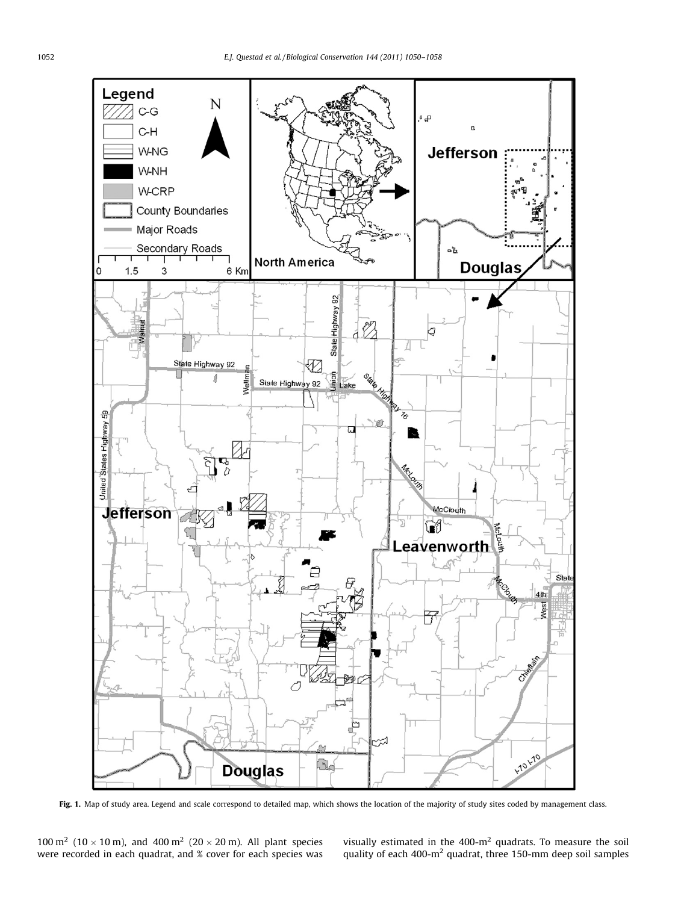<span id="page-2-0"></span>

Fig. 1. Map of study area. Legend and scale correspond to detailed map, which shows the location of the majority of study sites coded by management class.

100 m<sup>2</sup> (10  $\times$  10 m), and 400 m<sup>2</sup> (20  $\times$  20 m). All plant species were recorded in each quadrat, and % cover for each species was visually estimated in the  $400\text{-m}^2$  quadrats. To measure the soil quality of each 400-m2 quadrat, three 150-mm deep soil samples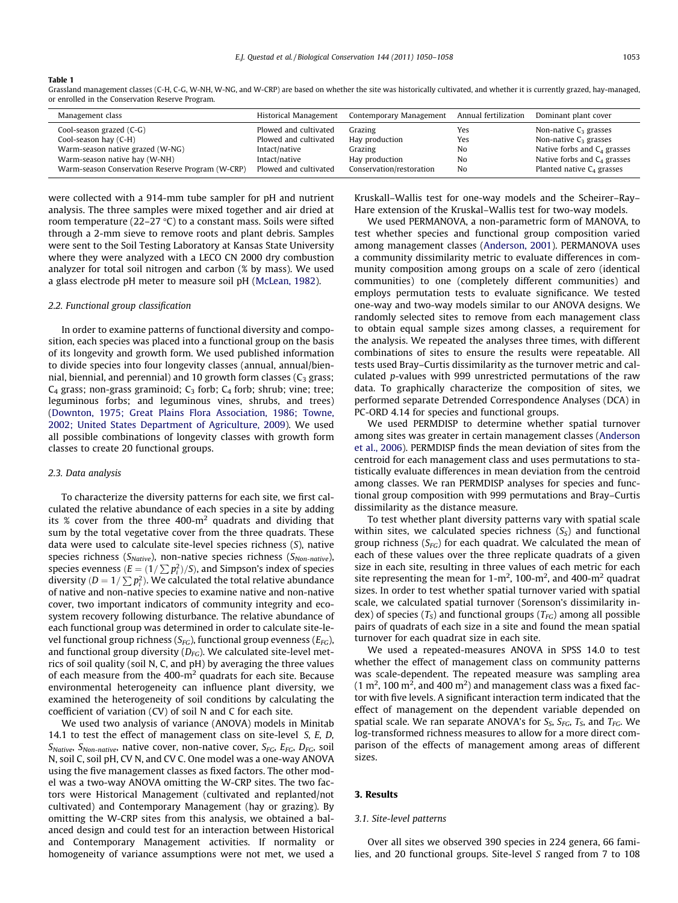#### <span id="page-3-0"></span>Table 1

Grassland management classes (C-H, C-G, W-NH, W-NG, and W-CRP) are based on whether the site was historically cultivated, and whether it is currently grazed, hay-managed, or enrolled in the Conservation Reserve Program.

| Management class                                 | Historical Management | Contemporary Management  | Annual fertilization | Dominant plant cover           |
|--------------------------------------------------|-----------------------|--------------------------|----------------------|--------------------------------|
| Cool-season grazed (C-G)                         | Plowed and cultivated | Grazing                  | Yes                  | Non-native $C_3$ grasses       |
| Cool-season hay (C-H)                            | Plowed and cultivated | Hay production           | Yes                  | Non-native $C_3$ grasses       |
| Warm-season native grazed (W-NG)                 | Intact/native         | Grazing                  | No                   | Native forbs and $C_4$ grasses |
| Warm-season native hay (W-NH)                    | Intact/native         | Hay production           | No                   | Native forbs and $C_4$ grasses |
| Warm-season Conservation Reserve Program (W-CRP) | Plowed and cultivated | Conservation/restoration | No                   | Planted native $C_4$ grasses   |

were collected with a 914-mm tube sampler for pH and nutrient analysis. The three samples were mixed together and air dried at room temperature (22–27 °C) to a constant mass. Soils were sifted through a 2-mm sieve to remove roots and plant debris. Samples were sent to the Soil Testing Laboratory at Kansas State University where they were analyzed with a LECO CN 2000 dry combustion analyzer for total soil nitrogen and carbon (% by mass). We used a glass electrode pH meter to measure soil pH ([McLean, 1982](#page-7-0)).

## 2.2. Functional group classification

In order to examine patterns of functional diversity and composition, each species was placed into a functional group on the basis of its longevity and growth form. We used published information to divide species into four longevity classes (annual, annual/biennial, biennial, and perennial) and 10 growth form classes ( $C_3$  grass;  $C_4$  grass; non-grass graminoid;  $C_3$  forb;  $C_4$  forb; shrub; vine; tree; leguminous forbs; and leguminous vines, shrubs, and trees) ([Downton, 1975; Great Plains Flora Association, 1986; Towne,](#page-7-0) [2002; United States Department of Agriculture, 2009\)](#page-7-0). We used all possible combinations of longevity classes with growth form classes to create 20 functional groups.

## 2.3. Data analysis

To characterize the diversity patterns for each site, we first calculated the relative abundance of each species in a site by adding its % cover from the three 400- $m<sup>2</sup>$  quadrats and dividing that sum by the total vegetative cover from the three quadrats. These data were used to calculate site-level species richness (S), native species richness ( $S_{\text{Native}}$ ), non-native species richness ( $S_{\text{Non-native}}$ ), species evenness  $(E = (1/\sum p_i^2)/S)$ , and Simpson's index of species diversity  $(D = 1/\sum p_i^2)$ . We calculated the total relative abundance of native and non-native species to examine native and non-native cover, two important indicators of community integrity and ecosystem recovery following disturbance. The relative abundance of each functional group was determined in order to calculate site-level functional group richness ( $S_{FG}$ ), functional group evenness ( $E_{FG}$ ), and functional group diversity  $(D_{FG})$ . We calculated site-level metrics of soil quality (soil N, C, and pH) by averaging the three values of each measure from the  $400\text{-m}^2$  quadrats for each site. Because environmental heterogeneity can influence plant diversity, we examined the heterogeneity of soil conditions by calculating the coefficient of variation (CV) of soil N and C for each site.

We used two analysis of variance (ANOVA) models in Minitab 14.1 to test the effect of management class on site-level S, E, D,  $S_{\text{Native}}$ ,  $S_{\text{Non-native}}$ , native cover, non-native cover,  $S_{\text{FG}}$ ,  $E_{\text{FG}}$ ,  $D_{\text{FG}}$ , soil N, soil C, soil pH, CV N, and CV C. One model was a one-way ANOVA using the five management classes as fixed factors. The other model was a two-way ANOVA omitting the W-CRP sites. The two factors were Historical Management (cultivated and replanted/not cultivated) and Contemporary Management (hay or grazing). By omitting the W-CRP sites from this analysis, we obtained a balanced design and could test for an interaction between Historical and Contemporary Management activities. If normality or homogeneity of variance assumptions were not met, we used a Kruskall–Wallis test for one-way models and the Scheirer–Ray– Hare extension of the Kruskal–Wallis test for two-way models.

We used PERMANOVA, a non-parametric form of MANOVA, to test whether species and functional group composition varied among management classes [\(Anderson, 2001\)](#page-7-0). PERMANOVA uses a community dissimilarity metric to evaluate differences in community composition among groups on a scale of zero (identical communities) to one (completely different communities) and employs permutation tests to evaluate significance. We tested one-way and two-way models similar to our ANOVA designs. We randomly selected sites to remove from each management class to obtain equal sample sizes among classes, a requirement for the analysis. We repeated the analyses three times, with different combinations of sites to ensure the results were repeatable. All tests used Bray–Curtis dissimilarity as the turnover metric and calculated p-values with 999 unrestricted permutations of the raw data. To graphically characterize the composition of sites, we performed separate Detrended Correspondence Analyses (DCA) in PC-ORD 4.14 for species and functional groups.

We used PERMDISP to determine whether spatial turnover among sites was greater in certain management classes ([Anderson](#page-7-0) [et al., 2006](#page-7-0)). PERMDISP finds the mean deviation of sites from the centroid for each management class and uses permutations to statistically evaluate differences in mean deviation from the centroid among classes. We ran PERMDISP analyses for species and functional group composition with 999 permutations and Bray–Curtis dissimilarity as the distance measure.

To test whether plant diversity patterns vary with spatial scale within sites, we calculated species richness  $(S<sub>S</sub>)$  and functional group richness ( $S_{FG}$ ) for each quadrat. We calculated the mean of each of these values over the three replicate quadrats of a given size in each site, resulting in three values of each metric for each site representing the mean for 1-m<sup>2</sup>, 100-m<sup>2</sup>, and 400-m<sup>2</sup> quadrat sizes. In order to test whether spatial turnover varied with spatial scale, we calculated spatial turnover (Sorenson's dissimilarity index) of species  $(T<sub>S</sub>)$  and functional groups  $(T<sub>FG</sub>)$  among all possible pairs of quadrats of each size in a site and found the mean spatial turnover for each quadrat size in each site.

We used a repeated-measures ANOVA in SPSS 14.0 to test whether the effect of management class on community patterns was scale-dependent. The repeated measure was sampling area (1 m<sup>2</sup>, 100 m<sup>2</sup>, and 400 m<sup>2</sup>) and management class was a fixed factor with five levels. A significant interaction term indicated that the effect of management on the dependent variable depended on spatial scale. We ran separate ANOVA's for  $S_S$ ,  $S_{FG}$ ,  $T_S$ , and  $T_{FG}$ . We log-transformed richness measures to allow for a more direct comparison of the effects of management among areas of different sizes.

## 3. Results

## 3.1. Site-level patterns

Over all sites we observed 390 species in 224 genera, 66 families, and 20 functional groups. Site-level S ranged from 7 to 108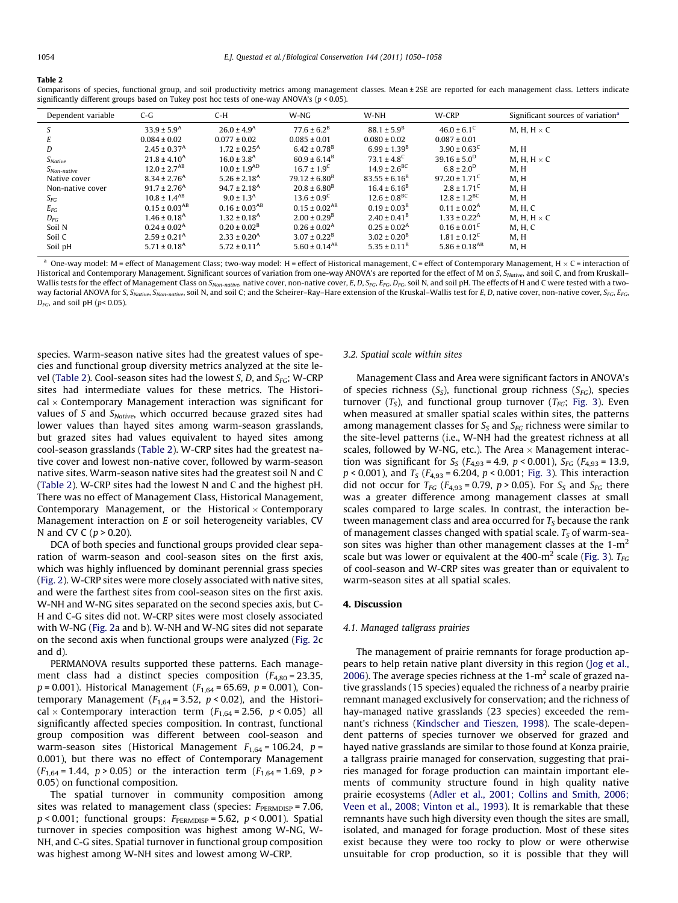#### Table 2

Comparisons of species, functional group, and soil productivity metrics among management classes. Mean ± 2SE are reported for each management class. Letters indicate significantly different groups based on Tukey post hoc tests of one-way ANOVA's ( $p < 0.05$ ).

| Dependent variable         | $C-G$                         | $C-H$                        | W-NG                       | W-NH                         | W-CRP                         | Significant sources of variation <sup>a</sup> |
|----------------------------|-------------------------------|------------------------------|----------------------------|------------------------------|-------------------------------|-----------------------------------------------|
|                            | $33.9 \pm 5.9$ <sup>A</sup>   | $26.0 \pm 4.9^{\text{A}}$    | $77.6 \pm 6.2^{\rm B}$     | $88.1 \pm 5.9^{\rm B}$       | $46.0 \pm 6.1^{\circ}$        | M. H. H $\times$ C                            |
|                            | $0.084 \pm 0.02$              | $0.077 \pm 0.02$             | $0.085 \pm 0.01$           | $0.080 \pm 0.02$             | $0.087 \pm 0.01$              |                                               |
| D                          | $2.45 \pm 0.37$ <sup>A</sup>  | $1.72 \pm 0.25$ <sup>A</sup> | $6.42 \pm 0.78^{\rm B}$    | $6.99 \pm 1.39^{\rm B}$      | $3.90 \pm 0.63^{\circ}$       | M, H                                          |
| <i>S</i> <sub>Native</sub> | $21.8 \pm 4.10^{\text{A}}$    | $16.0 \pm 3.8^{\rm A}$       | $60.9 \pm 6.14^{\rm B}$    | $73.1 \pm 4.8^{\circ}$       | $39.16 \pm 5.0^{\rm D}$       | M, H, $H \times C$                            |
| $S_{Non-native}$           | $12.0 \pm 2.7$ <sup>AB</sup>  | $10.0 \pm 1.9^{AD}$          | $16.7 \pm 1.9^{\circ}$     | $14.9 \pm 2.6^{BC}$          | $6.8 \pm 2.0^{D}$             | M, H                                          |
| Native cover               | $8.34 \pm 2.76^{\text{A}}$    | $5.26 \pm 2.18$ <sup>A</sup> | $79.12 \pm 6.80^8$         | $83.55 \pm 6.16^B$           | $97.20 \pm 1.71^{\circ}$      | M, H                                          |
| Non-native cover           | $91.7 \pm 2.76$ <sup>A</sup>  | $94.7 \pm 2.18$ <sup>A</sup> | $20.8 \pm 6.80^{\rm B}$    | $16.4 \pm 6.16^B$            | $2.8 \pm 1.71^{\circ}$        | M, H                                          |
| $S_{FG}$                   | $10.8 \pm 1.4^{AB}$           | $9.0 \pm 1.3^{\rm A}$        | $13.6 \pm 0.9^{\circ}$     | $12.6 \pm 0.8$ <sup>BC</sup> | $12.8 \pm 1.2^{BC}$           | <b>M.</b> H                                   |
| $E_{FG}$                   | $0.15 \pm 0.03$ <sup>AB</sup> | $0.16 \pm 0.03^{AB}$         | $0.15 \pm 0.02^{AB}$       | $0.19 \pm 0.03^{\rm B}$      | $0.11 \pm 0.02^{\text{A}}$    | M, H, C                                       |
| $D_{FG}$                   | $1.46 \pm 0.18$ <sup>A</sup>  | $1.32 \pm 0.18$ <sup>A</sup> | $2.00 \pm 0.29^8$          | $2.40 \pm 0.41^{\circ}$      | $1.33 \pm 0.22^{\text{A}}$    | M. H. H $\times$ C                            |
| Soil N                     | $0.24 \pm 0.02^{\text{A}}$    | $0.20 \pm 0.02^{\rm B}$      | $0.26 \pm 0.02^{\text{A}}$ | $0.25 \pm 0.02^{\text{A}}$   | $0.16 \pm 0.01^{\circ}$       | M, H, C                                       |
| Soil C                     | $2.59 \pm 0.21^{\text{A}}$    | $2.33 \pm 0.20^{\rm A}$      | $3.07 \pm 0.22^{\rm B}$    | $3.02 \pm 0.20^8$            | $1.81 \pm 0.12^C$             | <b>M.</b> H                                   |
| Soil pH                    | $5.71 \pm 0.18$ <sup>A</sup>  | $5.72 \pm 0.11^{\text{A}}$   | $5.60 \pm 0.14^{AB}$       | $5.35 \pm 0.11^{\rm B}$      | $5.86 \pm 0.18$ <sup>AB</sup> | M, H                                          |

 $^{\rm a}$  One-way model: M = effect of Management Class; two-way model: H = effect of Historical management, C = effect of Contemporary Management, H  $\times$  C = interaction of Historical and Contemporary Management. Significant sources of variation from one-way ANOVA's are reported for the effect of M on S, S<sub>Native</sub>, and soil C, and from Kruskall-Wallis tests for the effect of Management Class on S<sub>Non-native</sub>, native cover, non-native cover, E, D, S<sub>FG</sub>, E<sub>FG</sub>, D<sub>FG</sub>, soil N, and soil pH. The effects of H and C were tested with a twoway factorial ANOVA for S, S<sub>Native</sub>, S<sub>Non-native</sub>, soil N, and soil C; and the Scheirer–Ray–Hare extension of the Kruskal–Wallis test for E, D, native cover, non-native cover, S<sub>FG</sub>, E<sub>FG</sub>,  $D_{FG}$ , and soil pH (p< 0.05).

species. Warm-season native sites had the greatest values of species and functional group diversity metrics analyzed at the site level (Table 2). Cool-season sites had the lowest S, D, and  $S_{FG}$ ; W-CRP sites had intermediate values for these metrics. The Historical  $\times$  Contemporary Management interaction was significant for values of S and  $S_{Native}$ , which occurred because grazed sites had lower values than hayed sites among warm-season grasslands, but grazed sites had values equivalent to hayed sites among cool-season grasslands (Table 2). W-CRP sites had the greatest native cover and lowest non-native cover, followed by warm-season native sites. Warm-season native sites had the greatest soil N and C (Table 2). W-CRP sites had the lowest N and C and the highest pH. There was no effect of Management Class, Historical Management, Contemporary Management, or the Historical $\times$  Contemporary Management interaction on E or soil heterogeneity variables, CV N and CV C ( $p > 0.20$ ).

DCA of both species and functional groups provided clear separation of warm-season and cool-season sites on the first axis, which was highly influenced by dominant perennial grass species ([Fig. 2](#page-5-0)). W-CRP sites were more closely associated with native sites, and were the farthest sites from cool-season sites on the first axis. W-NH and W-NG sites separated on the second species axis, but C-H and C-G sites did not. W-CRP sites were most closely associated with W-NG [\(Fig. 2](#page-5-0)a and b). W-NH and W-NG sites did not separate on the second axis when functional groups were analyzed [\(Fig. 2c](#page-5-0) and d).

PERMANOVA results supported these patterns. Each management class had a distinct species composition  $(F_{4,80} = 23.35,$  $p = 0.001$ ). Historical Management ( $F_{1,64} = 65.69$ ,  $p = 0.001$ ), Contemporary Management ( $F_{1,64}$  = 3.52,  $p$  < 0.02), and the Historical  $\times$  Contemporary interaction term ( $F_{1,64}$  = 2.56,  $p$  < 0.05) all significantly affected species composition. In contrast, functional group composition was different between cool-season and warm-season sites (Historical Management  $F_{1,64}$  = 106.24,  $p$  = 0.001), but there was no effect of Contemporary Management  $(F_{1,64} = 1.44, p > 0.05)$  or the interaction term  $(F_{1,64} = 1.69, p > 0.05)$ 0.05) on functional composition.

The spatial turnover in community composition among sites was related to management class (species:  $F_{\text{PERMDISP}} = 7.06$ ,  $p < 0.001$ ; functional groups:  $F_{PERMDISP} = 5.62$ ,  $p < 0.001$ ). Spatial turnover in species composition was highest among W-NG, W-NH, and C-G sites. Spatial turnover in functional group composition was highest among W-NH sites and lowest among W-CRP.

## 3.2. Spatial scale within sites

Management Class and Area were significant factors in ANOVA's of species richness  $(S<sub>S</sub>)$ , functional group richness  $(S<sub>FG</sub>)$ , species turnover  $(T<sub>S</sub>)$ , and functional group turnover  $(T<sub>FG</sub>)$ ; [Fig. 3](#page-5-0)). Even when measured at smaller spatial scales within sites, the patterns among management classes for  $S_S$  and  $S_{FG}$  richness were similar to the site-level patterns (i.e., W-NH had the greatest richness at all scales, followed by W-NG, etc.). The Area  $\times$  Management interaction was significant for  $S_S$  ( $F_{4,93}$  = 4.9,  $p$  < 0.001),  $S_{FG}$  ( $F_{4,93}$  = 13.9,  $p < 0.001$ ), and  $T_S$  ( $F_{4,93}$  = 6.204,  $p < 0.001$ ; [Fig. 3\)](#page-5-0). This interaction did not occur for  $T_{FG}$  ( $F_{4,93}$  = 0.79,  $p > 0.05$ ). For  $S_S$  and  $S_{FG}$  there was a greater difference among management classes at small scales compared to large scales. In contrast, the interaction between management class and area occurred for  $T<sub>S</sub>$  because the rank of management classes changed with spatial scale.  $T<sub>S</sub>$  of warm-season sites was higher than other management classes at the  $1-m^2$ scale but was lower or equivalent at the 400-m<sup>2</sup> scale ([Fig. 3](#page-5-0)).  $T_{FG}$ of cool-season and W-CRP sites was greater than or equivalent to warm-season sites at all spatial scales.

### 4. Discussion

### 4.1. Managed tallgrass prairies

The management of prairie remnants for forage production appears to help retain native plant diversity in this region [\(Jog et al.,](#page-7-0) [2006\)](#page-7-0). The average species richness at the  $1-m^2$  scale of grazed native grasslands (15 species) equaled the richness of a nearby prairie remnant managed exclusively for conservation; and the richness of hay-managed native grasslands (23 species) exceeded the remnant's richness [\(Kindscher and Tieszen, 1998](#page-7-0)). The scale-dependent patterns of species turnover we observed for grazed and hayed native grasslands are similar to those found at Konza prairie, a tallgrass prairie managed for conservation, suggesting that prairies managed for forage production can maintain important elements of community structure found in high quality native prairie ecosystems [\(Adler et al., 2001; Collins and Smith, 2006;](#page-7-0) [Veen et al., 2008; Vinton et al., 1993](#page-7-0)). It is remarkable that these remnants have such high diversity even though the sites are small, isolated, and managed for forage production. Most of these sites exist because they were too rocky to plow or were otherwise unsuitable for crop production, so it is possible that they will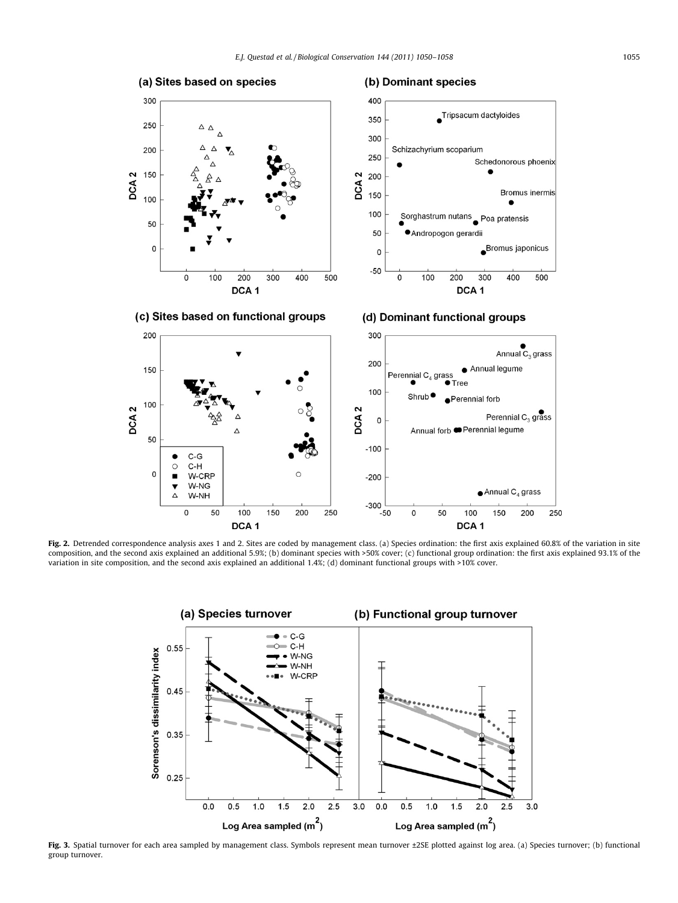<span id="page-5-0"></span>

Fig. 2. Detrended correspondence analysis axes 1 and 2. Sites are coded by management class. (a) Species ordination: the first axis explained 60.8% of the variation in site composition, and the second axis explained an additional 5.9%; (b) dominant species with >50% cover; (c) functional group ordination: the first axis explained 93.1% of the variation in site composition, and the second axis explained an additional 1.4%; (d) dominant functional groups with >10% cover.



Fig. 3. Spatial turnover for each area sampled by management class. Symbols represent mean turnover ±2SE plotted against log area. (a) Species turnover; (b) functional group turnover.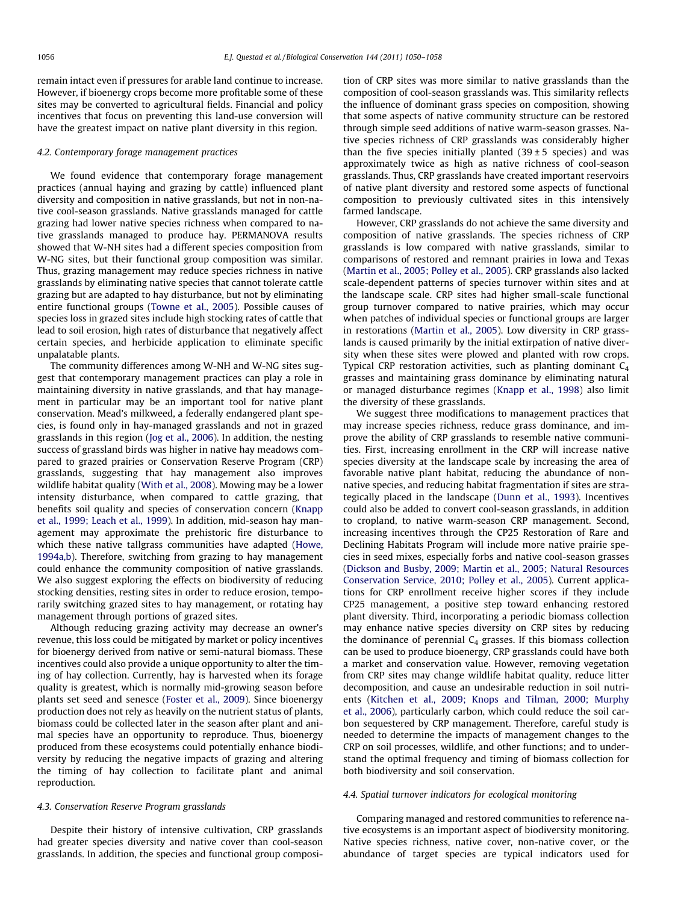remain intact even if pressures for arable land continue to increase. However, if bioenergy crops become more profitable some of these sites may be converted to agricultural fields. Financial and policy incentives that focus on preventing this land-use conversion will have the greatest impact on native plant diversity in this region.

## 4.2. Contemporary forage management practices

We found evidence that contemporary forage management practices (annual haying and grazing by cattle) influenced plant diversity and composition in native grasslands, but not in non-native cool-season grasslands. Native grasslands managed for cattle grazing had lower native species richness when compared to native grasslands managed to produce hay. PERMANOVA results showed that W-NH sites had a different species composition from W-NG sites, but their functional group composition was similar. Thus, grazing management may reduce species richness in native grasslands by eliminating native species that cannot tolerate cattle grazing but are adapted to hay disturbance, but not by eliminating entire functional groups ([Towne et al., 2005\)](#page-7-0). Possible causes of species loss in grazed sites include high stocking rates of cattle that lead to soil erosion, high rates of disturbance that negatively affect certain species, and herbicide application to eliminate specific unpalatable plants.

The community differences among W-NH and W-NG sites suggest that contemporary management practices can play a role in maintaining diversity in native grasslands, and that hay management in particular may be an important tool for native plant conservation. Mead's milkweed, a federally endangered plant species, is found only in hay-managed grasslands and not in grazed grasslands in this region [\(Jog et al., 2006](#page-7-0)). In addition, the nesting success of grassland birds was higher in native hay meadows compared to grazed prairies or Conservation Reserve Program (CRP) grasslands, suggesting that hay management also improves wildlife habitat quality ([With et al., 2008](#page-8-0)). Mowing may be a lower intensity disturbance, when compared to cattle grazing, that benefits soil quality and species of conservation concern ([Knapp](#page-7-0) [et al., 1999; Leach et al., 1999](#page-7-0)). In addition, mid-season hay management may approximate the prehistoric fire disturbance to which these native tallgrass communities have adapted ([Howe,](#page-7-0) [1994a,b\)](#page-7-0). Therefore, switching from grazing to hay management could enhance the community composition of native grasslands. We also suggest exploring the effects on biodiversity of reducing stocking densities, resting sites in order to reduce erosion, temporarily switching grazed sites to hay management, or rotating hay management through portions of grazed sites.

Although reducing grazing activity may decrease an owner's revenue, this loss could be mitigated by market or policy incentives for bioenergy derived from native or semi-natural biomass. These incentives could also provide a unique opportunity to alter the timing of hay collection. Currently, hay is harvested when its forage quality is greatest, which is normally mid-growing season before plants set seed and senesce ([Foster et al., 2009](#page-7-0)). Since bioenergy production does not rely as heavily on the nutrient status of plants, biomass could be collected later in the season after plant and animal species have an opportunity to reproduce. Thus, bioenergy produced from these ecosystems could potentially enhance biodiversity by reducing the negative impacts of grazing and altering the timing of hay collection to facilitate plant and animal reproduction.

## 4.3. Conservation Reserve Program grasslands

Despite their history of intensive cultivation, CRP grasslands had greater species diversity and native cover than cool-season grasslands. In addition, the species and functional group composition of CRP sites was more similar to native grasslands than the composition of cool-season grasslands was. This similarity reflects the influence of dominant grass species on composition, showing that some aspects of native community structure can be restored through simple seed additions of native warm-season grasses. Native species richness of CRP grasslands was considerably higher than the five species initially planted  $(39 \pm 5$  species) and was approximately twice as high as native richness of cool-season grasslands. Thus, CRP grasslands have created important reservoirs of native plant diversity and restored some aspects of functional composition to previously cultivated sites in this intensively farmed landscape.

However, CRP grasslands do not achieve the same diversity and composition of native grasslands. The species richness of CRP grasslands is low compared with native grasslands, similar to comparisons of restored and remnant prairies in Iowa and Texas ([Martin et al., 2005; Polley et al., 2005\)](#page-7-0). CRP grasslands also lacked scale-dependent patterns of species turnover within sites and at the landscape scale. CRP sites had higher small-scale functional group turnover compared to native prairies, which may occur when patches of individual species or functional groups are larger in restorations [\(Martin et al., 2005](#page-7-0)). Low diversity in CRP grasslands is caused primarily by the initial extirpation of native diversity when these sites were plowed and planted with row crops. Typical CRP restoration activities, such as planting dominant  $C_4$ grasses and maintaining grass dominance by eliminating natural or managed disturbance regimes ([Knapp et al., 1998](#page-7-0)) also limit the diversity of these grasslands.

We suggest three modifications to management practices that may increase species richness, reduce grass dominance, and improve the ability of CRP grasslands to resemble native communities. First, increasing enrollment in the CRP will increase native species diversity at the landscape scale by increasing the area of favorable native plant habitat, reducing the abundance of nonnative species, and reducing habitat fragmentation if sites are strategically placed in the landscape ([Dunn et al., 1993\)](#page-7-0). Incentives could also be added to convert cool-season grasslands, in addition to cropland, to native warm-season CRP management. Second, increasing incentives through the CP25 Restoration of Rare and Declining Habitats Program will include more native prairie species in seed mixes, especially forbs and native cool-season grasses ([Dickson and Busby, 2009; Martin et al., 2005; Natural Resources](#page-7-0) [Conservation Service, 2010; Polley et al., 2005\)](#page-7-0). Current applications for CRP enrollment receive higher scores if they include CP25 management, a positive step toward enhancing restored plant diversity. Third, incorporating a periodic biomass collection may enhance native species diversity on CRP sites by reducing the dominance of perennial  $C_4$  grasses. If this biomass collection can be used to produce bioenergy, CRP grasslands could have both a market and conservation value. However, removing vegetation from CRP sites may change wildlife habitat quality, reduce litter decomposition, and cause an undesirable reduction in soil nutrients ([Kitchen et al., 2009; Knops and Tilman, 2000; Murphy](#page-7-0) [et al., 2006](#page-7-0)), particularly carbon, which could reduce the soil carbon sequestered by CRP management. Therefore, careful study is needed to determine the impacts of management changes to the CRP on soil processes, wildlife, and other functions; and to understand the optimal frequency and timing of biomass collection for both biodiversity and soil conservation.

## 4.4. Spatial turnover indicators for ecological monitoring

Comparing managed and restored communities to reference native ecosystems is an important aspect of biodiversity monitoring. Native species richness, native cover, non-native cover, or the abundance of target species are typical indicators used for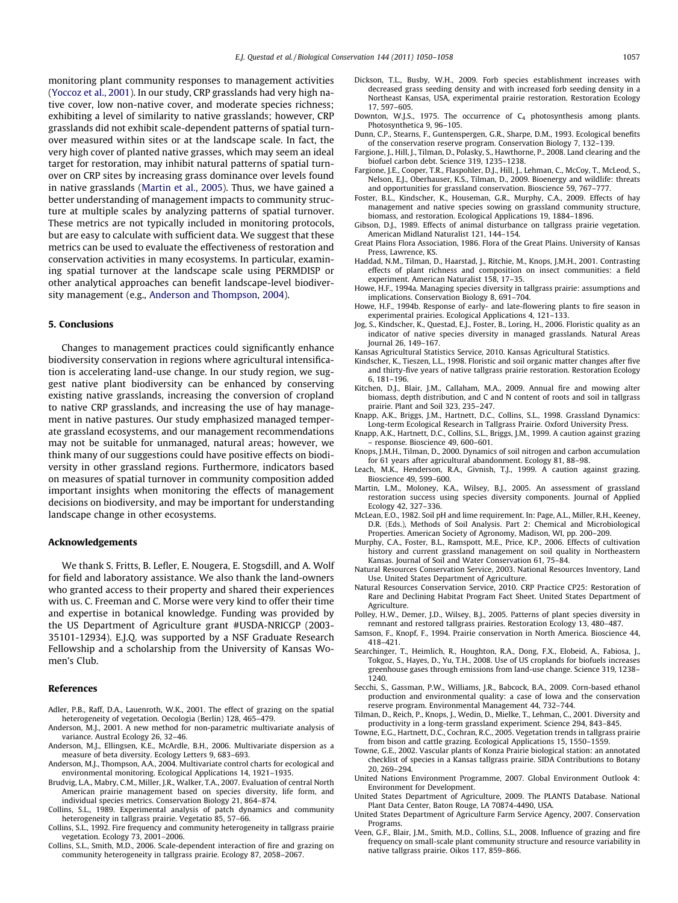<span id="page-7-0"></span>monitoring plant community responses to management activities ([Yoccoz et al., 2001](#page-8-0)). In our study, CRP grasslands had very high native cover, low non-native cover, and moderate species richness; exhibiting a level of similarity to native grasslands; however, CRP grasslands did not exhibit scale-dependent patterns of spatial turnover measured within sites or at the landscape scale. In fact, the very high cover of planted native grasses, which may seem an ideal target for restoration, may inhibit natural patterns of spatial turnover on CRP sites by increasing grass dominance over levels found in native grasslands (Martin et al., 2005). Thus, we have gained a better understanding of management impacts to community structure at multiple scales by analyzing patterns of spatial turnover. These metrics are not typically included in monitoring protocols, but are easy to calculate with sufficient data. We suggest that these metrics can be used to evaluate the effectiveness of restoration and conservation activities in many ecosystems. In particular, examining spatial turnover at the landscape scale using PERMDISP or other analytical approaches can benefit landscape-level biodiversity management (e.g., Anderson and Thompson, 2004).

## 5. Conclusions

Changes to management practices could significantly enhance biodiversity conservation in regions where agricultural intensification is accelerating land-use change. In our study region, we suggest native plant biodiversity can be enhanced by conserving existing native grasslands, increasing the conversion of cropland to native CRP grasslands, and increasing the use of hay management in native pastures. Our study emphasized managed temperate grassland ecosystems, and our management recommendations may not be suitable for unmanaged, natural areas; however, we think many of our suggestions could have positive effects on biodiversity in other grassland regions. Furthermore, indicators based on measures of spatial turnover in community composition added important insights when monitoring the effects of management decisions on biodiversity, and may be important for understanding landscape change in other ecosystems.

## Acknowledgements

We thank S. Fritts, B. Lefler, E. Nougera, E. Stogsdill, and A. Wolf for field and laboratory assistance. We also thank the land-owners who granted access to their property and shared their experiences with us. C. Freeman and C. Morse were very kind to offer their time and expertise in botanical knowledge. Funding was provided by the US Department of Agriculture grant #USDA-NRICGP (2003- 35101-12934). E.J.Q. was supported by a NSF Graduate Research Fellowship and a scholarship from the University of Kansas Women's Club.

#### References

- Adler, P.B., Raff, D.A., Lauenroth, W.K., 2001. The effect of grazing on the spatial heterogeneity of vegetation. Oecologia (Berlin) 128, 465–479.
- Anderson, M.J., 2001. A new method for non-parametric multivariate analysis of variance. Austral Ecology 26, 32–46.
- Anderson, M.J., Ellingsen, K.E., McArdle, B.H., 2006. Multivariate dispersion as a measure of beta diversity. Ecology Letters 9, 683–693.
- Anderson, M.J., Thompson, A.A., 2004. Multivariate control charts for ecological and environmental monitoring. Ecological Applications 14, 1921–1935.
- Brudvig, L.A., Mabry, C.M., Miller, J.R., Walker, T.A., 2007. Evaluation of central North American prairie management based on species diversity, life form, and individual species metrics. Conservation Biology 21, 864–874.
- Collins, S.L., 1989. Experimental analysis of patch dynamics and community heterogeneity in tallgrass prairie. Vegetatio 85, 57–66.
- Collins, S.L., 1992. Fire frequency and community heterogeneity in tallgrass prairie vegetation. Ecology 73, 2001–2006.
- Collins, S.L., Smith, M.D., 2006. Scale-dependent interaction of fire and grazing on community heterogeneity in tallgrass prairie. Ecology 87, 2058–2067.
- Dickson, T.L., Busby, W.H., 2009. Forb species establishment increases with decreased grass seeding density and with increased forb seeding density in a Northeast Kansas, USA, experimental prairie restoration. Restoration Ecology 17, 597–605.
- Downton, W.J.S., 1975. The occurrence of  $C_4$  photosynthesis among plants. Photosynthetica 9, 96–105.
- Dunn, C.P., Stearns, F., Guntenspergen, G.R., Sharpe, D.M., 1993. Ecological benefits of the conservation reserve program. Conservation Biology 7, 132–139.
- Fargione, J., Hill, J., Tilman, D., Polasky, S., Hawthorne, P., 2008. Land clearing and the biofuel carbon debt. Science 319, 1235–1238.
- Fargione, J.E., Cooper, T.R., Flaspohler, D.J., Hill, J., Lehman, C., McCoy, T., McLeod, S., Nelson, E.J., Oberhauser, K.S., Tilman, D., 2009. Bioenergy and wildlife: threats and opportunities for grassland conservation. Bioscience 59, 767–777.
- Foster, B.L., Kindscher, K., Houseman, G.R., Murphy, C.A., 2009. Effects of hay management and native species sowing on grassland community structure, biomass, and restoration. Ecological Applications 19, 1884–1896.
- Gibson, D.J., 1989. Effects of animal disturbance on tallgrass prairie vegetation. American Midland Naturalist 121, 144–154.
- Great Plains Flora Association, 1986. Flora of the Great Plains. University of Kansas Press, Lawrence, KS.
- Haddad, N.M., Tilman, D., Haarstad, J., Ritchie, M., Knops, J.M.H., 2001. Contrasting effects of plant richness and composition on insect communities: a field experiment. American Naturalist 158, 17–35.
- Howe, H.F., 1994a. Managing species diversity in tallgrass prairie: assumptions and implications. Conservation Biology 8, 691–704.
- Howe, H.F., 1994b. Response of early- and late-flowering plants to fire season in experimental prairies. Ecological Applications 4, 121–133.
- Jog, S., Kindscher, K., Questad, E.J., Foster, B., Loring, H., 2006. Floristic quality as an indicator of native species diversity in managed grasslands. Natural Areas Journal 26, 149–167.
- Kansas Agricultural Statistics Service, 2010. Kansas Agricultural Statistics.
- Kindscher, K., Tieszen, L.L., 1998. Floristic and soil organic matter changes after five and thirty-five years of native tallgrass prairie restoration. Restoration Ecology 6, 181–196.
- Kitchen, D.J., Blair, J.M., Callaham, M.A., 2009. Annual fire and mowing alter biomass, depth distribution, and C and N content of roots and soil in tallgrass prairie. Plant and Soil 323, 235–247.
- Knapp, A.K., Briggs, J.M., Hartnett, D.C., Collins, S.L., 1998. Grassland Dynamics: Long-term Ecological Research in Tallgrass Prairie. Oxford University Press.
- Knapp, A.K., Hartnett, D.C., Collins, S.L., Briggs, J.M., 1999. A caution against grazing – response. Bioscience 49, 600–601.
- Knops, J.M.H., Tilman, D., 2000. Dynamics of soil nitrogen and carbon accumulation for 61 years after agricultural abandonment. Ecology 81, 88–98.
- Leach, M.K., Henderson, R.A., Givnish, T.J., 1999. A caution against grazing. Bioscience 49, 599–600.
- Martin, L.M., Moloney, K.A., Wilsey, B.J., 2005. An assessment of grassland restoration success using species diversity components. Journal of Applied Ecology 42, 327–336.
- McLean, E.O., 1982. Soil pH and lime requirement. In: Page, A.L., Miller, R.H., Keeney, D.R. (Eds.), Methods of Soil Analysis. Part 2: Chemical and Microbiological Properties. American Society of Agronomy, Madison, WI, pp. 200–209.
- Murphy, C.A., Foster, B.L., Ramspott, M.E., Price, K.P., 2006. Effects of cultivation history and current grassland management on soil quality in Northeastern Kansas. Journal of Soil and Water Conservation 61, 75–84.
- Natural Resources Conservation Service, 2003. National Resources Inventory, Land Use. United States Department of Agriculture.
- Natural Resources Conservation Service, 2010. CRP Practice CP25: Restoration of Rare and Declining Habitat Program Fact Sheet. United States Department of Agriculture.
- Polley, H.W., Demer, J.D., Wilsey, B.J., 2005. Patterns of plant species diversity in remnant and restored tallgrass prairies. Restoration Ecology 13, 480–487.
- Samson, F., Knopf, F., 1994. Prairie conservation in North America. Bioscience 44, 418–421.
- Searchinger, T., Heimlich, R., Houghton, R.A., Dong, F.X., Elobeid, A., Fabiosa, J., Tokgoz, S., Hayes, D., Yu, T.H., 2008. Use of US croplands for biofuels increases greenhouse gases through emissions from land-use change. Science 319, 1238– 1240.
- Secchi, S., Gassman, P.W., Williams, J.R., Babcock, B.A., 2009. Corn-based ethanol production and environmental quality: a case of Iowa and the conservation reserve program. Environmental Management 44, 732–744.
- Tilman, D., Reich, P., Knops, J., Wedin, D., Mielke, T., Lehman, C., 2001. Diversity and productivity in a long-term grassland experiment. Science 294, 843–845.
- Towne, E.G., Hartnett, D.C., Cochran, R.C., 2005. Vegetation trends in tallgrass prairie from bison and cattle grazing. Ecological Applications 15, 1550–1559.
- Towne, G.E., 2002. Vascular plants of Konza Prairie biological station: an annotated checklist of species in a Kansas tallgrass prairie. SIDA Contributions to Botany 20, 269–294.
- United Nations Environment Programme, 2007. Global Environment Outlook 4: Environment for Development.
- United States Department of Agriculture, 2009. The PLANTS Database. National Plant Data Center, Baton Rouge, LA 70874-4490, USA.
- United States Department of Agriculture Farm Service Agency, 2007. Conservation Programs.
- Veen, G.F., Blair, J.M., Smith, M.D., Collins, S.L., 2008. Influence of grazing and fire frequency on small-scale plant community structure and resource variability in native tallgrass prairie. Oikos 117, 859–866.